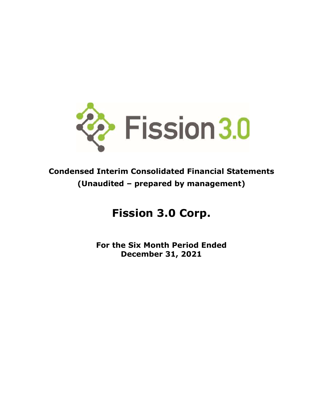

# **Condensed Interim Consolidated Financial Statements (Unaudited – prepared by management)**

# **Fission 3.0 Corp.**

**For the Six Month Period Ended December 31, 2021**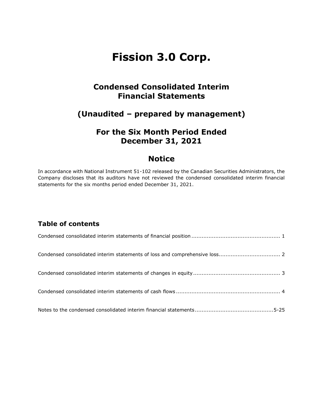# **Condensed Consolidated Interim Financial Statements**

# **(Unaudited – prepared by management)**

# **For the Six Month Period Ended December 31, 2021**

# **Notice**

In accordance with National Instrument 51-102 released by the Canadian Securities Administrators, the Company discloses that its auditors have not reviewed the condensed consolidated interim financial statements for the six months period ended December 31, 2021.

# **Table of contents**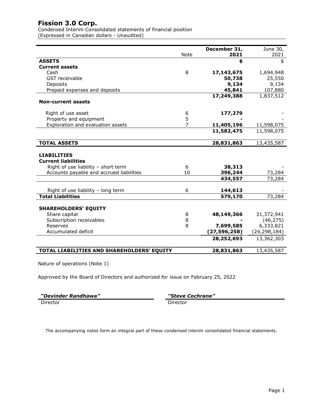Condensed Interim Consolidated statements of financial position (Expressed in Canadian dollars - Unaudited)

|                                            |                | December 31,   | June 30,     |
|--------------------------------------------|----------------|----------------|--------------|
|                                            | Note           | 2021           | 2021         |
| <b>ASSETS</b>                              |                | \$             | \$           |
| <b>Current assets</b>                      |                |                |              |
| Cash                                       | 8              | 17,143,675     | 1,694,948    |
| <b>GST</b> receivable                      |                | 50,738         | 25,550       |
| Deposits                                   |                | 9,134          | 9,134        |
| Prepaid expenses and deposits              |                | 45,841         | 107,880      |
|                                            |                | 17,249,388     | 1,837,512    |
| <b>Non-current assets</b>                  |                |                |              |
| Right of use asset                         | 6              | 177,279        |              |
| Property and equipment                     | 5              |                |              |
| Exploration and evaluation assets          | $\overline{7}$ | 11,405,196     | 11,598,075   |
|                                            |                | 11,582,475     | 11,598,075   |
|                                            |                |                |              |
| <b>TOTAL ASSETS</b>                        |                | 28,831,863     | 13,435,587   |
|                                            |                |                |              |
| <b>LIABILITIES</b>                         |                |                |              |
| <b>Current liabilities</b>                 |                |                |              |
| Right of use liability - short term        | 6              | 38,313         |              |
| Accounts payable and accrued liabilities   | 10             | 396,244        | 73,284       |
|                                            |                | 434,557        | 73,284       |
| Right of use liability - long term         | 6              | 144,613        |              |
| <b>Total Liabilities</b>                   |                | 579,170        | 73,284       |
|                                            |                |                |              |
| <b>SHAREHOLDERS' EQUITY</b>                |                |                |              |
| Share capital                              | 8              | 48,149,366     | 31,372,941   |
| Subscription receivables                   | 8              |                | (46, 275)    |
| Reserves                                   | 8              | 7,699,585      | 6,333,821    |
| Accumulated deficit                        |                | (27, 596, 258) | (24,298,184) |
|                                            |                | 28,252,693     | 13,362,303   |
| TOTAL LIABILITIES AND SHAREHOLDERS' EQUITY |                | 28,831,863     | 13,435,587   |

Nature of operations (Note 1)

Approved by the Board of Directors and authorized for issue on February 25, 2022

| "Devinder Randhawa" | "Steve   |
|---------------------|----------|
| Director            | Director |

 $t$ eve Cochrane"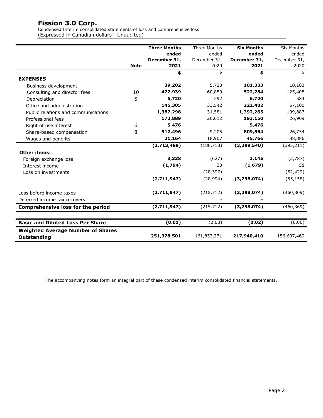Condensed Interim consolidated statements of loss and comprehensive loss (Expressed in Canadian dollars - Unaudited)

|                                          |             | <b>Three Months</b> | <b>Three Months</b> | <b>Six Months</b> | <b>Six Months</b> |
|------------------------------------------|-------------|---------------------|---------------------|-------------------|-------------------|
|                                          |             | ended               | ended               | ended             | ended             |
|                                          |             | December 31,        | December 31,        | December 31,      | December 31,      |
|                                          | <b>Note</b> | 2021                | 2020                | 2021              | 2020              |
|                                          |             | \$                  | \$                  | \$                | \$                |
| <b>EXPENSES</b>                          |             |                     |                     |                   |                   |
| Business development                     |             | 39,202              | 5,720               | 101,333           | 10,183            |
| Consulting and director fees             | 10          | 422,939             | 60,859              | 522,784           | 125,408           |
| Depreciation                             | 5           | 6,720               | 292                 | 6,720             | 584               |
| Office and administration                |             | 145,305             | 33,542              | 222,482           | 57,100            |
| Public relations and communications      |             | 1,387,298           | 31,581              | 1,392,265         | 109,887           |
| Professional fees                        |             | 172,889             | 26,612              | 193,150           | 26,909            |
| Right of use interest                    | 6           | 5,476               |                     | 5,476             |                   |
| Share-based compensation                 | 8           | 512,496             | 9,205               | 809,564           | 26,754            |
| Wages and benefits                       |             | 21,164              | 18,907              | 45,766            | 38,386            |
|                                          |             | (2,713,489)         | (186, 718)          | (3, 299, 540)     | (395, 211)        |
| <b>Other items:</b>                      |             |                     |                     |                   |                   |
| Foreign exchange loss                    |             | 3,338               | (627)               | 3,145             | (2,787)           |
| Interest income                          |             | (1,794)             | 30                  | (1,679)           | 58                |
| Loss on investments                      |             |                     | (28, 397)           |                   | (62, 429)         |
|                                          |             | (2,711,947)         | (28, 994)           | (3, 298, 074)     | (65, 158)         |
|                                          |             |                     |                     |                   |                   |
| Loss before income taxes                 |             | (2,711,947)         | (215, 712)          | (3, 298, 074)     | (460, 369)        |
| Deferred income tax recovery             |             |                     |                     |                   |                   |
| <b>Comprehensive loss for the period</b> |             | (2,711,947)         | (215, 712)          | (3, 298, 074)     | (460, 369)        |
|                                          |             |                     |                     |                   |                   |
| <b>Basic and Diluted Loss Per Share</b>  |             | (0.01)              | (0.00)              | (0.02)            | (0.00)            |
| <b>Weighted Average Number of Shares</b> |             |                     |                     |                   |                   |
| Outstanding                              |             | 251,378,501         | 161,853,371         | 217,940,410       | 156,607,469       |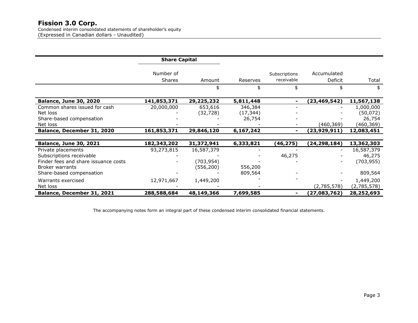Condensed interim consolidated statements of shareholder's equity (Expressed in Canadian dollars - Unaudited) 

|                                      | <b>Share Capital</b> |            |           |                |                |             |
|--------------------------------------|----------------------|------------|-----------|----------------|----------------|-------------|
|                                      | Number of            |            |           | Subscriptions  | Accumulated    |             |
|                                      | <b>Shares</b>        | Amount     | Reserves  | receivable     | Deficit        | Total       |
|                                      |                      | \$         | \$        | \$             |                | \$          |
| <b>Balance, June 30, 2020</b>        | 141,853,371          | 29,225,232 | 5,811,448 | $\blacksquare$ | (23,469,542)   | 11,567,138  |
| Common shares issued for cash        | 20,000,000           | 653,616    | 346,384   |                |                | 1,000,000   |
| Net loss                             |                      | (32, 728)  | (17, 344) |                |                | (50, 072)   |
| Share-based compensation             |                      |            | 26,754    |                |                | 26,754      |
| Net loss                             |                      |            |           |                | (460,369)      | (460,369)   |
| Balance, December 31, 2020           | 161,853,371          | 29,846,120 | 6,167,242 | $\blacksquare$ | (23,929,911)   | 12,083,451  |
|                                      |                      |            |           |                |                |             |
| <b>Balance, June 30, 2021</b>        | 182,343,202          | 31,372,941 | 6,333,821 | (46, 275)      | (24, 298, 184) | 13,362,303  |
| Private placements                   | 93,273,815           | 16,587,379 |           |                |                | 16,587,379  |
| Subscriptions receivable             |                      |            |           | 46,275         |                | 46,275      |
| Finder fees and share issuance costs |                      | (703,954)  |           |                |                | (703, 955)  |
| Broker warrants                      |                      | (556,200)  | 556,200   |                |                |             |
| Share-based compensation             |                      |            | 809,564   |                |                | 809,564     |
| Warrants exercised                   | 12,971,667           | 1,449,200  |           |                |                | 1,449,200   |
| Net loss                             |                      |            |           |                | (2,785,578)    | (2,785,578) |
| Balance, December 31, 2021           | 288,588,684          | 48,149,366 | 7,699,585 | $\blacksquare$ | (27,083,762)   | 28,252,693  |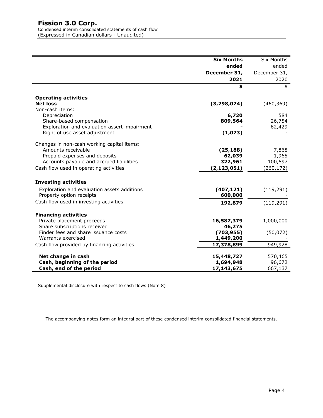Condensed interim consolidated statements of cash flow (Expressed in Canadian dollars - Unaudited)

|                                              | <b>Six Months</b> | Six Months    |
|----------------------------------------------|-------------------|---------------|
|                                              | ended             | ended         |
|                                              | December 31,      | December 31,  |
|                                              | 2021              | 2020          |
|                                              | \$                | \$            |
| <b>Operating activities</b>                  |                   |               |
| <b>Net loss</b>                              | (3, 298, 074)     | (460, 369)    |
| Non-cash items:                              |                   |               |
| Depreciation<br>Share-based compensation     | 6,720<br>809,564  | 584<br>26,754 |
| Exploration and evaluation assert impairment |                   | 62,429        |
| Right of use asset adjustment                | (1,073)           |               |
|                                              |                   |               |
| Changes in non-cash working capital items:   |                   |               |
| Amounts receivable                           | (25, 188)         | 7,868         |
| Prepaid expenses and deposits                | 62,039            | 1,965         |
| Accounts payable and accrued liabilities     | 322,961           | 100,597       |
| Cash flow used in operating activities       | (2, 123, 051)     | (260, 172)    |
| <b>Investing activities</b>                  |                   |               |
| Exploration and evaluation assets additions  | (407, 121)        | (119, 291)    |
| Property option receipts                     | 600,000           |               |
| Cash flow used in investing activities       | 192,879           | (119,291)     |
| <b>Financing activities</b>                  |                   |               |
| Private placement proceeds                   | 16,587,379        | 1,000,000     |
| Share subscriptions received                 | 46,275            |               |
| Finder fees and share issuance costs         | (703, 955)        | (50,072)      |
| Warrants exercised                           | 1,449,200         |               |
| Cash flow provided by financing activities   | 17,378,899        | 949,928       |
| Net change in cash                           | 15,448,727        | 570,465       |
| Cash, beginning of the period                | 1,694,948         | 96,672        |
| Cash, end of the period                      | 17,143,675        | 667,137       |

Supplemental disclosure with respect to cash flows (Note 8)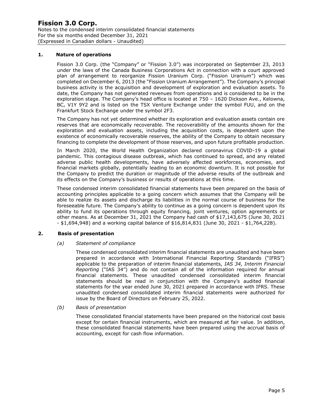#### **1. Nature of operations**

Fission 3.0 Corp. (the "Company" or "Fission 3.0") was incorporated on September 23, 2013 under the laws of the Canada Business Corporations Act in connection with a court approved plan of arrangement to reorganize Fission Uranium Corp. ("Fission Uranium") which was completed on December 6, 2013 (the "Fission Uranium Arrangement"). The Company's principal business activity is the acquisition and development of exploration and evaluation assets. To date, the Company has not generated revenues from operations and is considered to be in the exploration stage. The Company's head office is located at 750 – 1620 Dickson Ave., Kelowna, BC, V1Y 9Y2 and is listed on the TSX Venture Exchange under the symbol FUU, and on the Frankfurt Stock Exchange under the symbol 2F3.

The Company has not yet determined whether its exploration and evaluation assets contain ore reserves that are economically recoverable. The recoverability of the amounts shown for the exploration and evaluation assets, including the acquisition costs, is dependent upon the existence of economically recoverable reserves, the ability of the Company to obtain necessary financing to complete the development of those reserves, and upon future profitable production.

In March 2020, the World Health Organization declared coronavirus COVID-19 a global pandemic. This contagious disease outbreak, which has continued to spread, and any related adverse public health developments, have adversely affected workforces, economies, and financial markets globally, potentially leading to an economic downturn. It is not possible for the Company to predict the duration or magnitude of the adverse results of the outbreak and its effects on the Company's business or results of operations at this time.

These condensed interim consolidated financial statements have been prepared on the basis of accounting principles applicable to a going concern which assumes that the Company will be able to realize its assets and discharge its liabilities in the normal course of business for the foreseeable future. The Company's ability to continue as a going concern is dependent upon its ability to fund its operations through equity financing, joint ventures, option agreements or other means. As at December 31, 2021 the Company had cash of \$17,143,675 (June 30, 2021 - \$1,694,948) and a working capital balance of \$16,814,831 (June 30, 2021 - \$1,764,228).

#### **2. Basis of presentation**

#### *(a) Statement of compliance*

These condensed consolidated interim financial statements are unaudited and have been prepared in accordance with International Financial Reporting Standards ("IFRS") applicable to the preparation of interim financial statements, *IAS 34, Interim Financial Reporting* ("IAS 34") and do not contain all of the information required for annual financial statements. These unaudited condensed consolidated interim financial statements should be read in conjunction with the Company's audited financial statements for the year ended June 30, 2021 prepared in accordance with IFRS. These unaudited condensed consolidated interim financial statements were authorized for issue by the Board of Directors on February 25, 2022.

#### *(b) Basis of presentation*

These consolidated financial statements have been prepared on the historical cost basis except for certain financial instruments, which are measured at fair value. In addition, these consolidated financial statements have been prepared using the accrual basis of accounting, except for cash flow information.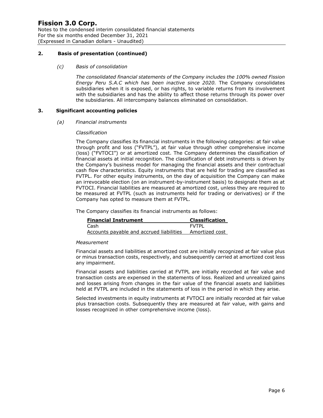Notes to the condensed interim consolidated financial statements For the six months ended December 31, 2021 (Expressed in Canadian dollars - Unaudited)

#### **2. Basis of presentation (continued)**

#### *(c) Basis of consolidation*

*The consolidated financial statements of the Company includes the 100% owned Fission Energy Peru S.A.C which has been inactive since 2020.* The Company consolidates subsidiaries when it is exposed, or has rights, to variable returns from its involvement with the subsidiaries and has the ability to affect those returns through its power over the subsidiaries. All intercompany balances eliminated on consolidation.

#### **3. Significant accounting policies**

*(a) Financial instruments* 

#### *Classification*

The Company classifies its financial instruments in the following categories: at fair value through profit and loss ("FVTPL"), at fair value through other comprehensive income (loss) ("FVTOCI") or at amortized cost. The Company determines the classification of financial assets at initial recognition. The classification of debt instruments is driven by the Company's business model for managing the financial assets and their contractual cash flow characteristics. Equity instruments that are held for trading are classified as FVTPL. For other equity instruments, on the day of acquisition the Company can make an irrevocable election (on an instrument-by-instrument basis) to designate them as at FVTOCI. Financial liabilities are measured at amortized cost, unless they are required to be measured at FVTPL (such as instruments held for trading or derivatives) or if the Company has opted to measure them at FVTPL.

The Company classifies its financial instruments as follows:

| <b>Financial Instrument</b>              | <b>Classification</b> |
|------------------------------------------|-----------------------|
| Cash                                     | <b>FVTPI</b>          |
| Accounts payable and accrued liabilities | Amortized cost        |

#### *Measurement*

Financial assets and liabilities at amortized cost are initially recognized at fair value plus or minus transaction costs, respectively, and subsequently carried at amortized cost less any impairment.

Financial assets and liabilities carried at FVTPL are initially recorded at fair value and transaction costs are expensed in the statements of loss. Realized and unrealized gains and losses arising from changes in the fair value of the financial assets and liabilities held at FVTPL are included in the statements of loss in the period in which they arise.

Selected investments in equity instruments at FVTOCI are initially recorded at fair value plus transaction costs. Subsequently they are measured at fair value, with gains and losses recognized in other comprehensive income (loss).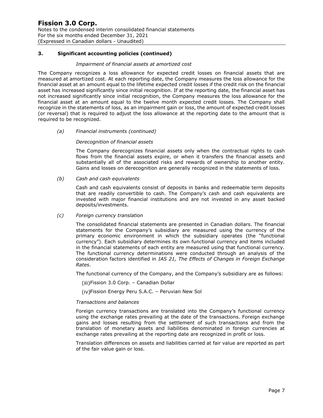Notes to the condensed interim consolidated financial statements For the six months ended December 31, 2021 (Expressed in Canadian dollars - Unaudited)

#### **3. Significant accounting policies (continued)**

#### *Impairment of financial assets at amortized cost*

The Company recognizes a loss allowance for expected credit losses on financial assets that are measured at amortized cost. At each reporting date, the Company measures the loss allowance for the financial asset at an amount equal to the lifetime expected credit losses if the credit risk on the financial asset has increased significantly since initial recognition. If at the reporting date, the financial asset has not increased significantly since initial recognition, the Company measures the loss allowance for the financial asset at an amount equal to the twelve month expected credit losses. The Company shall recognize in the statements of loss, as an impairment gain or loss, the amount of expected credit losses (or reversal) that is required to adjust the loss allowance at the reporting date to the amount that is required to be recognized.

#### *(a) Financial instruments (continued)*

#### *Derecognition of financial assets*

The Company derecognizes financial assets only when the contractual rights to cash flows from the financial assets expire, or when it transfers the financial assets and substantially all of the associated risks and rewards of ownership to another entity. Gains and losses on derecognition are generally recognized in the statements of loss.

#### *(b) Cash and cash equivalents*

Cash and cash equivalents consist of deposits in banks and redeemable term deposits that are readily convertible to cash. The Company's cash and cash equivalents are invested with major financial institutions and are not invested in any asset backed deposits/investments.

#### *(c) Foreign currency translation*

The consolidated financial statements are presented in Canadian dollars. The financial statements for the Company's subsidiary are measured using the currency of the primary economic environment in which the subsidiary operates (the "functional currency"). Each subsidiary determines its own functional currency and items included in the financial statements of each entity are measured using that functional currency. The functional currency determinations were conducted through an analysis of the consideration factors identified in *IAS 21, The Effects of Changes in Foreign Exchange Rates*.

The functional currency of the Company, and the Company's subsidiary are as follows:

- Fission 3.0 Corp. Canadian Dollar
- (iv)Fission Energy Peru S.A.C. Peruvian New Sol

#### *Transactions and balances*

Foreign currency transactions are translated into the Company's functional currency using the exchange rates prevailing at the date of the transactions. Foreign exchange gains and losses resulting from the settlement of such transactions and from the translation of monetary assets and liabilities denominated in foreign currencies at exchange rates prevailing at the reporting date are recognized in profit or loss.

Translation differences on assets and liabilities carried at fair value are reported as part of the fair value gain or loss.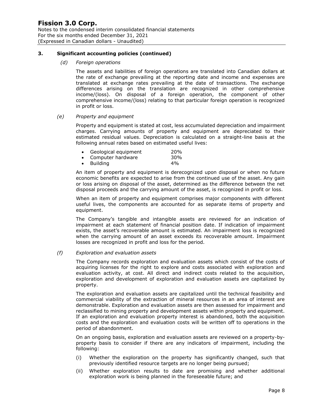Notes to the condensed interim consolidated financial statements For the six months ended December 31, 2021 (Expressed in Canadian dollars - Unaudited)

#### **3. Significant accounting policies (continued)**

*(d) Foreign operations*

The assets and liabilities of foreign operations are translated into Canadian dollars at the rate of exchange prevailing at the reporting date and income and expenses are translated at exchange rates prevailing at the date of transactions. The exchange differences arising on the translation are recognized in other comprehensive income/(loss). On disposal of a foreign operation, the component of other comprehensive income/(loss) relating to that particular foreign operation is recognized in profit or loss.

#### *(e) Property and equipment*

Property and equipment is stated at cost, less accumulated depreciation and impairment charges. Carrying amounts of property and equipment are depreciated to their estimated residual values. Depreciation is calculated on a straight-line basis at the following annual rates based on estimated useful lives:

| Geological equipment                                                                                                                                                                                                           | 20% |
|--------------------------------------------------------------------------------------------------------------------------------------------------------------------------------------------------------------------------------|-----|
| Construction of the conditions of the construction of the condition of the condition of the condition of the condition of the condition of the condition of the condition of the condition of the condition of the condition o | nn  |

- Computer hardware 30%
- Building 4%

An item of property and equipment is derecognized upon disposal or when no future economic benefits are expected to arise from the continued use of the asset. Any gain or loss arising on disposal of the asset, determined as the difference between the net disposal proceeds and the carrying amount of the asset, is recognized in profit or loss.

When an item of property and equipment comprises major components with different useful lives, the components are accounted for as separate items of property and equipment.

The Company's tangible and intangible assets are reviewed for an indication of impairment at each statement of financial position date. If indication of impairment exists, the asset's recoverable amount is estimated. An impairment loss is recognized when the carrying amount of an asset exceeds its recoverable amount. Impairment losses are recognized in profit and loss for the period.

#### *(f) Exploration and evaluation assets*

The Company records exploration and evaluation assets which consist of the costs of acquiring licenses for the right to explore and costs associated with exploration and evaluation activity, at cost. All direct and indirect costs related to the acquisition, exploration and development of exploration and evaluation assets are capitalized by property.

The exploration and evaluation assets are capitalized until the technical feasibility and commercial viability of the extraction of mineral resources in an area of interest are demonstrable. Exploration and evaluation assets are then assessed for impairment and reclassified to mining property and development assets within property and equipment. If an exploration and evaluation property interest is abandoned, both the acquisition costs and the exploration and evaluation costs will be written off to operations in the period of abandonment.

On an ongoing basis, exploration and evaluation assets are reviewed on a property-byproperty basis to consider if there are any indicators of impairment, including the following:

- (i) Whether the exploration on the property has significantly changed, such that previously identified resource targets are no longer being pursued;
- (ii) Whether exploration results to date are promising and whether additional exploration work is being planned in the foreseeable future; and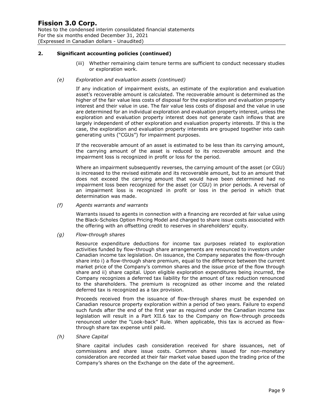Notes to the condensed interim consolidated financial statements For the six months ended December 31, 2021 (Expressed in Canadian dollars - Unaudited)

#### **2. Significant accounting policies (continued)**

(iii) Whether remaining claim tenure terms are sufficient to conduct necessary studies or exploration work.

#### *(e) Exploration and evaluation assets (continued)*

If any indication of impairment exists, an estimate of the exploration and evaluation asset's recoverable amount is calculated. The recoverable amount is determined as the higher of the fair value less costs of disposal for the exploration and evaluation property interest and their value in use. The fair value less costs of disposal and the value in use are determined for an individual exploration and evaluation property interest, unless the exploration and evaluation property interest does not generate cash inflows that are largely independent of other exploration and evaluation property interests. If this is the case, the exploration and evaluation property interests are grouped together into cash generating units ("CGUs") for impairment purposes.

If the recoverable amount of an asset is estimated to be less than its carrying amount, the carrying amount of the asset is reduced to its recoverable amount and the impairment loss is recognized in profit or loss for the period.

Where an impairment subsequently reverses, the carrying amount of the asset (or CGU) is increased to the revised estimate and its recoverable amount, but to an amount that does not exceed the carrying amount that would have been determined had no impairment loss been recognized for the asset (or CGU) in prior periods. A reversal of an impairment loss is recognized in profit or loss in the period in which that determination was made.

#### *(f) Agents warrants and warrants*

Warrants issued to agents in connection with a financing are recorded at fair value using the Black-Scholes Option Pricing Model and charged to share issue costs associated with the offering with an offsetting credit to reserves in shareholders' equity.

#### *(g) Flow-through shares*

Resource expenditure deductions for income tax purposes related to exploration activities funded by flow-through share arrangements are renounced to investors under Canadian income tax legislation. On issuance, the Company separates the flow-through share into i) a flow-through share premium, equal to the difference between the current market price of the Company's common shares and the issue price of the flow through share and ii) share capital. Upon eligible exploration expenditures being incurred, the Company recognizes a deferred tax liability for the amount of tax reduction renounced to the shareholders. The premium is recognized as other income and the related deferred tax is recognized as a tax provision.

Proceeds received from the issuance of flow-through shares must be expended on Canadian resource property exploration within a period of two years. Failure to expend such funds after the end of the first year as required under the Canadian income tax legislation will result in a Part XII.6 tax to the Company on flow-through proceeds renounced under the "Look-back" Rule. When applicable, this tax is accrued as flowthrough share tax expense until paid.

#### *(h) Share Capital*

Share capital includes cash consideration received for share issuances, net of commissions and share issue costs. Common shares issued for non-monetary consideration are recorded at their fair market value based upon the trading price of the Company's shares on the Exchange on the date of the agreement.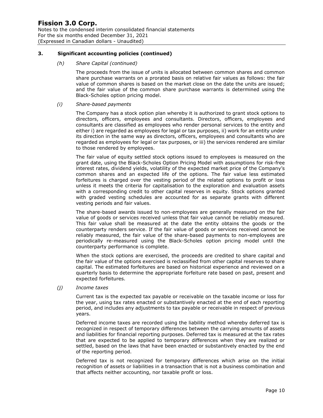Notes to the condensed interim consolidated financial statements For the six months ended December 31, 2021 (Expressed in Canadian dollars - Unaudited)

#### **3. Significant accounting policies (continued)**

#### *(h) Share Capital (continued)*

The proceeds from the issue of units is allocated between common shares and common share purchase warrants on a prorated basis on relative fair values as follows: the fair value of common shares is based on the market close on the date the units are issued; and the fair value of the common share purchase warrants is determined using the Black-Scholes option pricing model.

#### *(i) Share-based payments*

The Company has a stock option plan whereby it is authorized to grant stock options to directors, officers, employees and consultants. Directors, officers, employees and consultants are classified as employees who render personal services to the entity and either i) are regarded as employees for legal or tax purposes, ii) work for an entity under its direction in the same way as directors, officers, employees and consultants who are regarded as employees for legal or tax purposes, or iii) the services rendered are similar to those rendered by employees.

The fair value of equity settled stock options issued to employees is measured on the grant date, using the Black-Scholes Option Pricing Model with assumptions for risk-free interest rates, dividend yields, volatility of the expected market price of the Company's common shares and an expected life of the options. The fair value less estimated forfeitures is charged over the vesting period of the related options to profit or loss unless it meets the criteria for capitalisation to the exploration and evaluation assets with a corresponding credit to other capital reserves in equity. Stock options granted with graded vesting schedules are accounted for as separate grants with different vesting periods and fair values.

The share-based awards issued to non-employees are generally measured on the fair value of goods or services received unless that fair value cannot be reliably measured. This fair value shall be measured at the date the entity obtains the goods or the counterparty renders service. If the fair value of goods or services received cannot be reliably measured, the fair value of the share-based payments to non-employees are periodically re-measured using the Black-Scholes option pricing model until the counterparty performance is complete.

When the stock options are exercised, the proceeds are credited to share capital and the fair value of the options exercised is reclassified from other capital reserves to share capital. The estimated forfeitures are based on historical experience and reviewed on a quarterly basis to determine the appropriate forfeiture rate based on past, present and expected forfeitures.

#### *(j) Income taxes*

Current tax is the expected tax payable or receivable on the taxable income or loss for the year, using tax rates enacted or substantively enacted at the end of each reporting period, and includes any adjustments to tax payable or receivable in respect of previous years.

Deferred income taxes are recorded using the liability method whereby deferred tax is recognized in respect of temporary differences between the carrying amounts of assets and liabilities for financial reporting purposes. Deferred tax is measured at the tax rates that are expected to be applied to temporary differences when they are realized or settled, based on the laws that have been enacted or substantively enacted by the end of the reporting period.

Deferred tax is not recognized for temporary differences which arise on the initial recognition of assets or liabilities in a transaction that is not a business combination and that affects neither accounting, nor taxable profit or loss.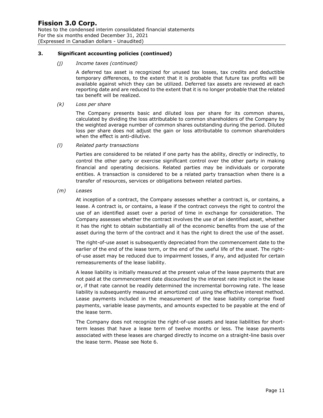Notes to the condensed interim consolidated financial statements For the six months ended December 31, 2021 (Expressed in Canadian dollars - Unaudited)

#### **3. Significant accounting policies (continued)**

#### *(j) Income taxes (continued)*

A deferred tax asset is recognized for unused tax losses, tax credits and deductible temporary differences, to the extent that it is probable that future tax profits will be available against which they can be utilized. Deferred tax assets are reviewed at each reporting date and are reduced to the extent that it is no longer probable that the related tax benefit will be realized.

#### *(k) Loss per share*

The Company presents basic and diluted loss per share for its common shares, calculated by dividing the loss attributable to common shareholders of the Company by the weighted average number of common shares outstanding during the period. Diluted loss per share does not adjust the gain or loss attributable to common shareholders when the effect is anti-dilutive.

#### *(l) Related party transactions*

Parties are considered to be related if one party has the ability, directly or indirectly, to control the other party or exercise significant control over the other party in making financial and operating decisions. Related parties may be individuals or corporate entities. A transaction is considered to be a related party transaction when there is a transfer of resources, services or obligations between related parties.

#### *(m) Leases*

At inception of a contract, the Company assesses whether a contract is, or contains, a lease. A contract is, or contains, a lease if the contract conveys the right to control the use of an identified asset over a period of time in exchange for consideration. The Company assesses whether the contract involves the use of an identified asset, whether it has the right to obtain substantially all of the economic benefits from the use of the asset during the term of the contract and it has the right to direct the use of the asset.

The right-of-use asset is subsequently depreciated from the commencement date to the earlier of the end of the lease term, or the end of the useful life of the asset. The rightof-use asset may be reduced due to impairment losses, if any, and adjusted for certain remeasurements of the lease liability.

A lease liability is initially measured at the present value of the lease payments that are not paid at the commencement date discounted by the interest rate implicit in the lease or, if that rate cannot be readily determined the incremental borrowing rate. The lease liability is subsequently measured at amortized cost using the effective interest method. Lease payments included in the measurement of the lease liability comprise fixed payments, variable lease payments, and amounts expected to be payable at the end of the lease term.

The Company does not recognize the right-of-use assets and lease liabilities for shortterm leases that have a lease term of twelve months or less. The lease payments associated with these leases are charged directly to income on a straight-line basis over the lease term. Please see Note 6.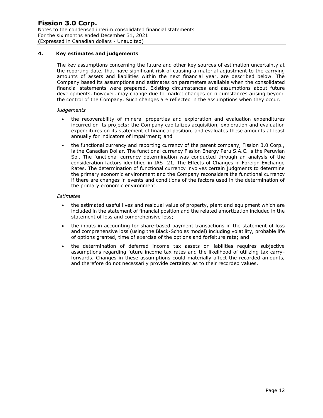#### **4. Key estimates and judgements**

The key assumptions concerning the future and other key sources of estimation uncertainty at the reporting date, that have significant risk of causing a material adjustment to the carrying amounts of assets and liabilities within the next financial year, are described below. The Company based its assumptions and estimates on parameters available when the consolidated financial statements were prepared. Existing circumstances and assumptions about future developments, however, may change due to market changes or circumstances arising beyond the control of the Company. Such changes are reflected in the assumptions when they occur.

#### *Judgements*

- the recoverability of mineral properties and exploration and evaluation expenditures incurred on its projects; the Company capitalizes acquisition, exploration and evaluation expenditures on its statement of financial position, and evaluates these amounts at least annually for indicators of impairment; and
- the functional currency and reporting currency of the parent company, Fission 3.0 Corp., is the Canadian Dollar. The functional currency Fission Energy Peru S.A.C. is the Peruvian Sol. The functional currency determination was conducted through an analysis of the consideration factors identified in IAS 21, The Effects of Changes in Foreign Exchange Rates. The determination of functional currency involves certain judgments to determine the primary economic environment and the Company reconsiders the functional currency if there are changes in events and conditions of the factors used in the determination of the primary economic environment.

#### *Estimates*

- the estimated useful lives and residual value of property, plant and equipment which are included in the statement of financial position and the related amortization included in the statement of loss and comprehensive loss;
- the inputs in accounting for share-based payment transactions in the statement of loss and comprehensive loss (using the Black-Scholes model) including volatility, probable life of options granted, time of exercise of the options and forfeiture rate; and
- the determination of deferred income tax assets or liabilities requires subjective assumptions regarding future income tax rates and the likelihood of utilizing tax carryforwards. Changes in these assumptions could materially affect the recorded amounts, and therefore do not necessarily provide certainty as to their recorded values.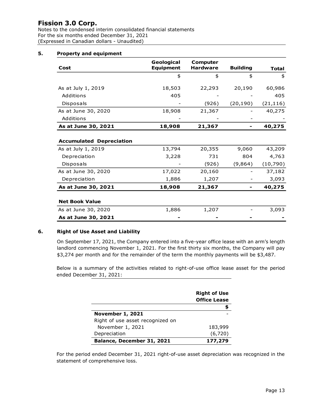Notes to the condensed interim consolidated financial statements For the six months ended December 31, 2021 (Expressed in Canadian dollars - Unaudited)

#### **5. Property and equipment**

|                                 | Geological       | <b>Computer</b> |                 |              |
|---------------------------------|------------------|-----------------|-----------------|--------------|
| Cost                            | <b>Equipment</b> | <b>Hardware</b> | <b>Building</b> | <b>Total</b> |
|                                 | \$               | \$              | \$              | \$           |
| As at July 1, 2019              | 18,503           | 22,293          | 20,190          | 60,986       |
| Additions                       | 405              |                 |                 | 405          |
| Disposals                       |                  | (926)           | (20, 190)       | (21, 116)    |
| As at June 30, 2020             | 18,908           | 21,367          |                 | 40,275       |
| Additions                       |                  |                 |                 |              |
| As at June 30, 2021             | 18,908           | 21,367          |                 | 40,275       |
|                                 |                  |                 |                 |              |
| <b>Accumulated Depreciation</b> |                  |                 |                 |              |
| As at July 1, 2019              | 13,794           | 20,355          | 9,060           | 43,209       |
| Depreciation                    | 3,228            | 731             | 804             | 4,763        |
| Disposals                       |                  | (926)           | (9,864)         | (10,790)     |
| As at June 30, 2020             | 17,022           | 20,160          |                 | 37,182       |
| Depreciation                    | 1,886            | 1,207           |                 | 3,093        |
| As at June 30, 2021             | 18,908           | 21,367          |                 | 40,275       |
|                                 |                  |                 |                 |              |
| <b>Net Book Value</b>           |                  |                 |                 |              |
| As at June 30, 2020             | 1,886            | 1,207           |                 | 3,093        |
| As at June 30, 2021             |                  |                 |                 |              |

#### **6. Right of Use Asset and Liability**

On September 17, 2021, the Company entered into a five-year office lease with an arm's length landlord commencing November 1, 2021. For the first thirty six months, the Company will pay \$3,274 per month and for the remainder of the term the monthly payments will be \$3,487.

Below is a summary of the activities related to right-of-use office lease asset for the period ended December 31, 2021:

|                                  | <b>Right of Use</b><br><b>Office Lease</b> |
|----------------------------------|--------------------------------------------|
|                                  |                                            |
| <b>November 1, 2021</b>          |                                            |
| Right of use asset recognized on |                                            |
| November 1, 2021                 | 183,999                                    |
| Depreciation                     | (6, 720)                                   |
| Balance, December 31, 2021       | 177,279                                    |

For the period ended December 31, 2021 right-of-use asset depreciation was recognized in the statement of comprehensive loss.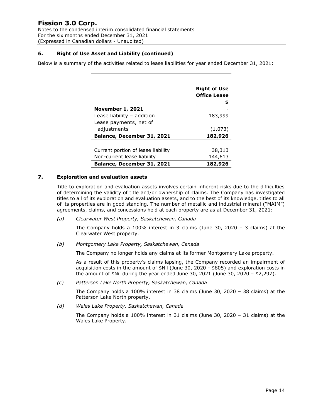Notes to the condensed interim consolidated financial statements For the six months ended December 31, 2021 (Expressed in Canadian dollars - Unaudited)

#### **6. Right of Use Asset and Liability (continued)**

Below is a summary of the activities related to lease liabilities for year ended December 31, 2021:

|                                    | <b>Right of Use</b><br><b>Office Lease</b> |
|------------------------------------|--------------------------------------------|
|                                    |                                            |
| <b>November 1, 2021</b>            |                                            |
| Lease liability - addition         | 183,999                                    |
| Lease payments, net of             |                                            |
| adjustments                        | (1,073)                                    |
| Balance, December 31, 2021         | 182,926                                    |
|                                    |                                            |
| Current portion of lease liability | 38,313                                     |
| Non-current lease liability        | 144,613                                    |
| <b>Balance, December 31, 2021</b>  | 182,926                                    |

#### **7. Exploration and evaluation assets**

Title to exploration and evaluation assets involves certain inherent risks due to the difficulties of determining the validity of title and/or ownership of claims. The Company has investigated titles to all of its exploration and evaluation assets, and to the best of its knowledge, titles to all of its properties are in good standing. The number of metallic and industrial mineral ("MAIM") agreements, claims, and concessions held at each property are as at December 31, 2021:

*(a) Clearwater West Property, Saskatchewan, Canada*

The Company holds a 100% interest in 3 claims (June 30, 2020 – 3 claims) at the Clearwater West property.

*(b) Montgomery Lake Property, Saskatchewan, Canada*

The Company no longer holds any claims at its former Montgomery Lake property.

As a result of this property's claims lapsing, the Company recorded an impairment of acquisition costs in the amount of \$Nil (June 30, 2020 - \$805) and exploration costs in the amount of  $$N$ il during the year ended June 30, 2021 (June 30, 2020 –  $$2,297$ ).

*(c) Patterson Lake North Property, Saskatchewan, Canada*

The Company holds a 100% interest in 38 claims (June 30, 2020 – 38 claims) at the Patterson Lake North property.

*(d) Wales Lake Property, Saskatchewan, Canada*

The Company holds a 100% interest in 31 claims (June 30, 2020 – 31 claims) at the Wales Lake Property.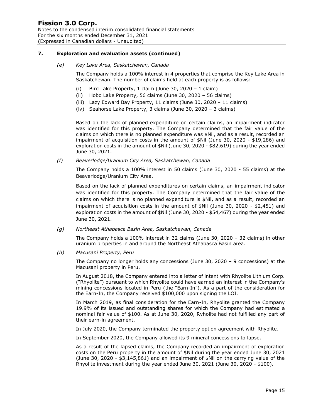Notes to the condensed interim consolidated financial statements For the six months ended December 31, 2021 (Expressed in Canadian dollars - Unaudited)

#### **7. Exploration and evaluation assets (continued)**

#### *(e) Key Lake Area, Saskatchewan, Canada*

The Company holds a 100% interest in 4 properties that comprise the Key Lake Area in Saskatchewan. The number of claims held at each property is as follows:

- (i) Bird Lake Property, 1 claim (June 30, 2020 1 claim)
- (ii) Hobo Lake Property, 56 claims (June 30, 2020 56 claims)
- (iii) Lazy Edward Bay Property, 11 claims (June 30, 2020 11 claims)
- (iv) Seahorse Lake Property, 3 claims (June 30, 2020 3 claims)

Based on the lack of planned expenditure on certain claims, an impairment indicator was identified for this property. The Company determined that the fair value of the claims on which there is no planned expenditure was \$Nil, and as a result, recorded an impairment of acquisition costs in the amount of \$Nil (June 30, 2020 - \$19,286) and exploration costs in the amount of \$Nil (June 30, 2020 - \$82,619) during the year ended June 30, 2021.

*(f) Beaverlodge/Uranium City Area, Saskatchewan, Canada*

The Company holds a 100% interest in 50 claims (June 30, 2020 - 55 claims) at the Beaverlodge/Uranium City Area.

Based on the lack of planned expenditures on certain claims, an impairment indicator was identified for this property. The Company determined that the fair value of the claims on which there is no planned expenditure is \$Nil, and as a result, recorded an impairment of acquisition costs in the amount of \$Nil (June 30, 2020 - \$2,451) and exploration costs in the amount of \$Nil (June 30, 2020 - \$54,467) during the year ended June 30, 2021.

*(g) Northeast Athabasca Basin Area, Saskatchewan, Canada*

The Company holds a 100% interest in 32 claims (June 30, 2020 – 32 claims) in other uranium properties in and around the Northeast Athabasca Basin area.

*(h) Macusani Property, Peru*

The Company no longer holds any concessions (June 30, 2020 – 9 concessions) at the Macusani property in Peru.

In August 2018, the Company entered into a letter of intent with Rhyolite Lithium Corp. ("Rhyolite") pursuant to which Rhyolite could have earned an interest in the Company's mining concessions located in Peru (the "Earn-In"). As a part of the consideration for the Earn-In, the Company received \$100,000 upon signing the LOI.

In March 2019, as final consideration for the Earn-In, Rhyolite granted the Company 19.9% of its issued and outstanding shares for which the Company had estimated a nominal fair value of \$100. As at June 30, 2020, Ryholite had not fulfilled any part of their earn-in agreement.

In July 2020, the Company terminated the property option agreement with Rhyolite.

In September 2020, the Company allowed its 9 mineral concessions to lapse.

As a result of the lapsed claims, the Company recorded an impairment of exploration costs on the Peru property in the amount of \$Nil during the year ended June 30, 2021 (June 30, 2020 - \$3,145,861) and an impairment of \$Nil on the carrying value of the Rhyolite investment during the year ended June 30, 2021 (June 30, 2020 - \$100).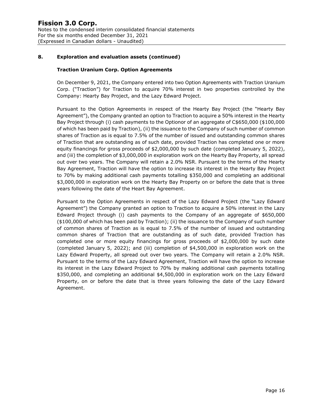#### **8. Exploration and evaluation assets (continued)**

#### **Traction Uranium Corp. Option Agreements**

On December 9, 2021, the Company entered into two Option Agreements with Traction Uranium Corp. ("Traction") for Traction to acquire 70% interest in two properties controlled by the Company: Hearty Bay Project, and the Lazy Edward Project.

Pursuant to the Option Agreements in respect of the Hearty Bay Project (the "Hearty Bay Agreement"), the Company granted an option to Traction to acquire a 50% interest in the Hearty Bay Project through (i) cash payments to the Optionor of an aggregate of C\$650,000 (\$100,000 of which has been paid by Traction), (ii) the issuance to the Company of such number of common shares of Traction as is equal to 7.5% of the number of issued and outstanding common shares of Traction that are outstanding as of such date, provided Traction has completed one or more equity financings for gross proceeds of \$2,000,000 by such date (completed January 5, 2022), and (iii) the completion of \$3,000,000 in exploration work on the Hearty Bay Property, all spread out over two years. The Company will retain a 2.0% NSR. Pursuant to the terms of the Hearty Bay Agreement, Traction will have the option to increase its interest in the Hearty Bay Project to 70% by making additional cash payments totalling \$350,000 and completing an additional \$3,000,000 in exploration work on the Hearty Bay Property on or before the date that is three years following the date of the Heart Bay Agreement.

Pursuant to the Option Agreements in respect of the Lazy Edward Project (the "Lazy Edward Agreement") the Company granted an option to Traction to acquire a 50% interest in the Lazy Edward Project through (i) cash payments to the Company of an aggregate of \$650,000 (\$100,000 of which has been paid by Traction); (ii) the issuance to the Company of such number of common shares of Traction as is equal to 7.5% of the number of issued and outstanding common shares of Traction that are outstanding as of such date, provided Traction has completed one or more equity financings for gross proceeds of \$2,000,000 by such date (completed January 5, 2022); and (iii) completion of \$4,500,000 in exploration work on the Lazy Edward Property, all spread out over two years. The Company will retain a 2.0% NSR. Pursuant to the terms of the Lazy Edward Agreement, Traction will have the option to increase its interest in the Lazy Edward Project to 70% by making additional cash payments totalling \$350,000, and completing an additional \$4,500,000 in exploration work on the Lazy Edward Property, on or before the date that is three years following the date of the Lazy Edward Agreement.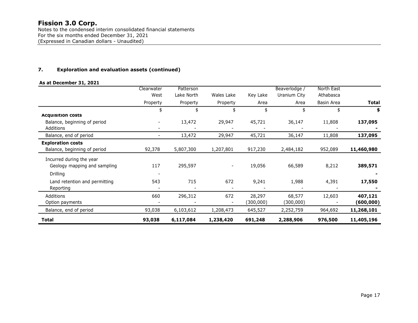Notes to the condensed interim consolidated financial statements For the six months ended December 31, 2021 (Expressed in Canadian dollars - Unaudited)

#### **7. Exploration and evaluation assets (continued)**

#### **As at December 31, 2021**

|                               | Clearwater               | Patterson  |                          |           | Beaverlodge  | North East |              |
|-------------------------------|--------------------------|------------|--------------------------|-----------|--------------|------------|--------------|
|                               | West                     | Lake North | Wales Lake               | Key Lake  | Uranium City | Athabasca  |              |
|                               | Property                 | Property   | Property                 | Area      | Area         | Basin Area | <b>Total</b> |
|                               | \$                       | \$         | \$                       | \$        |              | \$         | \$           |
| <b>Acquisition costs</b>      |                          |            |                          |           |              |            |              |
| Balance, beginning of period  |                          | 13,472     | 29,947                   | 45,721    | 36,147       | 11,808     | 137,095      |
| Additions                     |                          |            |                          |           |              |            |              |
| Balance, end of period        | $\overline{\phantom{a}}$ | 13,472     | 29,947                   | 45,721    | 36,147       | 11,808     | 137,095      |
| <b>Exploration costs</b>      |                          |            |                          |           |              |            |              |
| Balance, beginning of period  | 92,378                   | 5,807,300  | 1,207,801                | 917,230   | 2,484,182    | 952,089    | 11,460,980   |
| Incurred during the year      |                          |            |                          |           |              |            |              |
| Geology mapping and sampling  | 117                      | 295,597    | $\overline{\phantom{a}}$ | 19,056    | 66,589       | 8,212      | 389,571      |
| Drilling                      |                          |            |                          |           |              |            |              |
|                               |                          |            |                          |           |              |            |              |
| Land retention and permitting | 543                      | 715        | 672                      | 9,241     | 1,988        | 4,391      | 17,550       |
| Reporting                     |                          |            |                          |           |              |            |              |
| Additions                     | 660                      | 296,312    | 672                      | 28,297    | 68,577       | 12,603     | 407,121      |
| Option payments               |                          |            |                          | (300,000) | (300,000)    |            | (600, 000)   |
| Balance, end of period        | 93,038                   | 6,103,612  | 1,208,473                | 645,527   | 2,252,759    | 964,692    | 11,268,101   |
| <b>Total</b>                  | 93,038                   | 6,117,084  | 1,238,420                | 691,248   | 2,288,906    | 976,500    | 11,405,196   |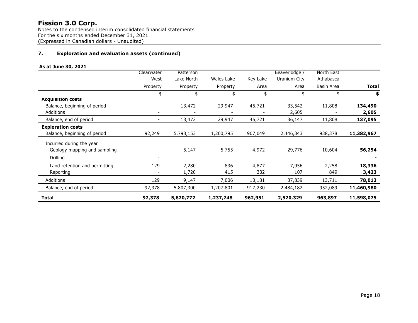Notes to the condensed interim consolidated financial statements For the six months ended December 31, 2021 (Expressed in Canadian dollars - Unaudited)

#### **7. Exploration and evaluation assets (continued)**

#### **As at June 30, 2021**

|                               | Clearwater               | Patterson  |            |          | Beaverlodge / | North East |              |
|-------------------------------|--------------------------|------------|------------|----------|---------------|------------|--------------|
|                               | West                     | Lake North | Wales Lake | Key Lake | Uranium City  | Athabasca  |              |
|                               | Property                 | Property   | Property   | Area     | Area          | Basin Area | <b>Total</b> |
|                               | \$                       | \$         | \$         | \$       | \$            | \$         | \$           |
| <b>Acquisition costs</b>      |                          |            |            |          |               |            |              |
| Balance, beginning of period  | $\overline{\phantom{a}}$ | 13,472     | 29,947     | 45,721   | 33,542        | 11,808     | 134,490      |
| Additions                     | $\overline{\phantom{a}}$ |            |            |          | 2,605         |            | 2,605        |
| Balance, end of period        | $\overline{\phantom{a}}$ | 13,472     | 29,947     | 45,721   | 36,147        | 11,808     | 137,095      |
| <b>Exploration costs</b>      |                          |            |            |          |               |            |              |
| Balance, beginning of period  | 92,249                   | 5,798,153  | 1,200,795  | 907,049  | 2,446,343     | 938,378    | 11,382,967   |
| Incurred during the year      |                          |            |            |          |               |            |              |
| Geology mapping and sampling  | $\overline{\phantom{a}}$ | 5,147      | 5,755      | 4,972    | 29,776        | 10,604     | 56,254       |
| Drilling                      |                          |            |            |          |               |            |              |
| Land retention and permitting | 129                      | 2,280      | 836        | 4,877    | 7,956         | 2,258      | 18,336       |
| Reporting                     |                          | 1,720      | 415        | 332      | 107           | 849        | 3,423        |
| Additions                     | 129                      | 9,147      | 7,006      | 10,181   | 37,839        | 13,711     | 78,013       |
| Balance, end of period        | 92,378                   | 5,807,300  | 1,207,801  | 917,230  | 2,484,182     | 952,089    | 11,460,980   |
| Total                         | 92,378                   | 5,820,772  | 1,237,748  | 962,951  | 2,520,329     | 963,897    | 11,598,075   |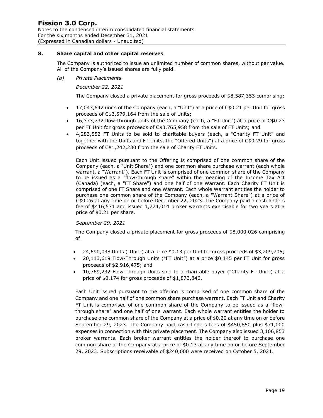#### **8. Share capital and other capital reserves**

The Company is authorized to issue an unlimited number of common shares, without par value. All of the Company's issued shares are fully paid.

*(a) Private Placements*

*December 22, 2021*

The Company closed a private placement for gross proceeds of \$8,587,353 comprising:

- 17,043,642 units of the Company (each, a "Unit") at a price of C\$0.21 per Unit for gross proceeds of C\$3,579,164 from the sale of Units;
- 16,373,732 flow-through units of the Company (each, a "FT Unit") at a price of C\$0.23 per FT Unit for gross proceeds of C\$3,765,958 from the sale of FT Units; and
- 4,283,552 FT Units to be sold to charitable buyers (each, a "Charity FT Unit" and together with the Units and FT Units, the "Offered Units") at a price of C\$0.29 for gross proceeds of C\$1,242,230 from the sale of Charity FT Units.

Each Unit issued pursuant to the Offering is comprised of one common share of the Company (each, a "Unit Share") and one common share purchase warrant (each whole warrant, a "Warrant"). Each FT Unit is comprised of one common share of the Company to be issued as a "flow-through share" within the meaning of the Income Tax Act (Canada) (each, a "FT Share") and one half of one Warrant. Each Charity FT Unit is comprised of one FT Share and one Warrant. Each whole Warrant entitles the holder to purchase one common share of the Company (each, a "Warrant Share") at a price of C\$0.26 at any time on or before December 22, 2023. The Company paid a cash finders fee of \$416,571 and issued 1,774,014 broker warrants exercisable for two years at a price of \$0.21 per share.

#### *September 29, 2021*

The Company closed a private placement for gross proceeds of \$8,000,026 comprising of:

- 24,690,038 Units ("Unit") at a price \$0.13 per Unit for gross proceeds of \$3,209,705;
- 20,113,619 Flow-Through Units ("FT Unit") at a price \$0.145 per FT Unit for gross proceeds of \$2,916,475; and
- 10,769,232 Flow-Through Units sold to a charitable buyer ("Charity FT Unit") at a price of \$0.174 for gross proceeds of \$1,873,846.

Each Unit issued pursuant to the offering is comprised of one common share of the Company and one half of one common share purchase warrant. Each FT Unit and Charity FT Unit is comprised of one common share of the Company to be issued as a "flowthrough share" and one half of one warrant. Each whole warrant entitles the holder to purchase one common share of the Company at a price of \$0.20 at any time on or before September 29, 2023. The Company paid cash finders fees of \$450,850 plus \$71,000 expenses in connection with this private placement. The Company also issued 3,106,853 broker warrants. Each broker warrant entitles the holder thereof to purchase one common share of the Company at a price of \$0.13 at any time on or before September 29, 2023. Subscriptions receivable of \$240,000 were received on October 5, 2021.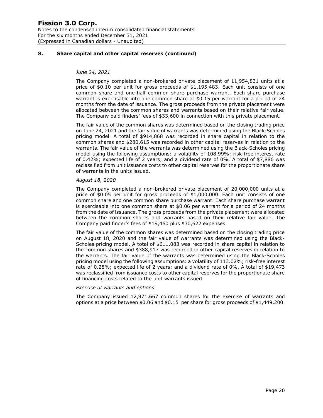#### **8. Share capital and other capital reserves (continued)**

#### *June 24, 2021*

The Company completed a non-brokered private placement of 11,954,831 units at a price of \$0.10 per unit for gross proceeds of \$1,195,483. Each unit consists of one common share and one-half common share purchase warrant. Each share purchase warrant is exercisable into one common share at \$0.15 per warrant for a period of 24 months from the date of issuance. The gross proceeds from the private placement were allocated between the common shares and warrants based on their relative fair value. The Company paid finders' fees of \$33,600 in connection with this private placement.

The fair value of the common shares was determined based on the closing trading price on June 24, 2021 and the fair value of warrants was determined using the Black-Scholes pricing model. A total of \$914,868 was recorded in share capital in relation to the common shares and \$280,615 was recorded in other capital reserves in relation to the warrants. The fair value of the warrants was determined using the Black-Scholes pricing model using the following assumptions: a volatility of 108.99%; risk-free interest rate of 0.42%; expected life of 2 years; and a dividend rate of 0%. A total of \$7,886 was reclassified from unit issuance costs to other capital reserves for the proportionate share of warrants in the units issued.

#### *August 18, 2020*

The Company completed a non-brokered private placement of 20,000,000 units at a price of \$0.05 per unit for gross proceeds of \$1,000,000. Each unit consists of one common share and one common share purchase warrant. Each share purchase warrant is exercisable into one common share at \$0.06 per warrant for a period of 24 months from the date of issuance. The gross proceeds from the private placement were allocated between the common shares and warrants based on their relative fair value. The Company paid finder's fees of \$19,450 plus \$30,622 expenses.

The fair value of the common shares was determined based on the closing trading price on August 18, 2020 and the fair value of warrants was determined using the Black-Scholes pricing model. A total of \$611,083 was recorded in share capital in relation to the common shares and \$388,917 was recorded in other capital reserves in relation to the warrants. The fair value of the warrants was determined using the Black-Scholes pricing model using the following assumptions: a volatility of 113.02%; risk-free interest rate of 0.28%; expected life of 2 years; and a dividend rate of 0%. A total of \$19,473 was reclassified from issuance costs to other capital reserves for the proportionate share of financing costs related to the unit warrants issued

#### *Exercise of warrants and options*

The Company issued 12,971,667 common shares for the exercise of warrants and options at a price between \$0.06 and \$0.15 per share for gross proceeds of \$1,449,200.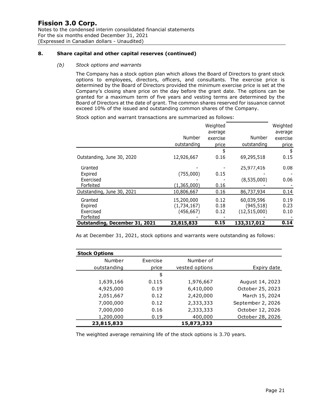#### **8. Share capital and other capital reserves (continued)**

#### *(b) Stock options and warrants*

The Company has a stock option plan which allows the Board of Directors to grant stock options to employees, directors, officers, and consultants. The exercise price is determined by the Board of Directors provided the minimum exercise price is set at the Company's closing share price on the day before the grant date. The options can be granted for a maximum term of five years and vesting terms are determined by the Board of Directors at the date of grant. The common shares reserved for issuance cannot exceed 10% of the issued and outstanding common shares of the Company.

Stock option and warrant transactions are summarized as follows:

|                                |             | Weighted |                | Weighted |
|--------------------------------|-------------|----------|----------------|----------|
|                                |             | average  |                | average  |
|                                | Number      | exercise | Number         | exercise |
|                                | outstanding | price    | outstanding    | price    |
|                                |             | \$       |                | \$       |
| Outstanding, June 30, 2020     | 12,926,667  | 0.16     | 69,295,518     | 0.15     |
| Granted                        |             |          | 25,977,416     | 0.08     |
| Expired                        | (755,000)   | 0.15     |                |          |
| Exercised                      |             |          | (8,535,000)    | 0.06     |
| Forfeited                      | (1,365,000) | 0.16     |                |          |
| Outstanding, June 30, 2021     | 10,806,667  | 0.16     | 86,737,934     | 0.14     |
| Granted                        | 15,200,000  | 0.12     | 60,039,596     | 0.19     |
| Expired                        | (1,734,167) | 0.18     | (945, 518)     | 0.23     |
| Exercised                      | (456, 667)  | 0.12     | (12, 515, 000) | 0.10     |
| Forfeited                      |             |          |                |          |
| Outstanding, December 31, 2021 | 23,815,833  | 0.15     | 133,317,012    | 0.14     |

As at December 31, 2021, stock options and warrants were outstanding as follows:

| <b>Stock Options</b> |          |                |                   |
|----------------------|----------|----------------|-------------------|
| Number               | Exercise | Number of      |                   |
| outstanding          | price    | vested options | Expiry date       |
|                      | \$       |                |                   |
| 1,639,166            | 0.115    | 1,976,667      | August 14, 2023   |
| 4,925,000            | 0.19     | 6,410,000      | October 25, 2023  |
| 2,051,667            | 0.12     | 2,420,000      | March 15, 2024    |
| 7,000,000            | 0.12     | 2,333,333      | September 2, 2026 |
| 7,000,000            | 0.16     | 2,333,333      | October 12, 2026  |
| 1,200,000            | 0.19     | 400,000        | October 28, 2026  |
| 23,815,833           |          | 15,873,333     |                   |

The weighted average remaining life of the stock options is 3.70 years.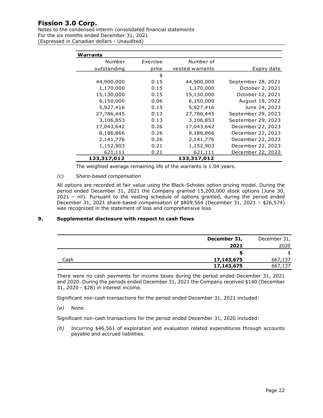Notes to the condensed interim consolidated financial statements For the six months ended December 31, 2021 (Expressed in Canadian dollars - Unaudited)

| Warrants    |          |                 |                    |
|-------------|----------|-----------------|--------------------|
| Number      | Exercise | Number of       |                    |
| outstanding | price    | vested warrants | Expiry date        |
|             | \$       |                 |                    |
| 44,900,000  | 0.15     | 44,900,000      | September 28, 2021 |
| 1,170,000   | 0.15     | 1,170,000       | October 2, 2021    |
| 15,130,000  | 0.15     | 15,130,000      | October 12, 2021   |
| 6,150,000   | 0.06     | 6,150,000       | August 18, 2022    |
| 5,927,416   | 0.15     | 5,927,416       | June 24, 2023      |
| 27,786,445  | 0.13     | 27,786,445      | September 29, 2023 |
| 3,106,853   | 0.13     | 3,106,853       | September 29, 2023 |
| 17,043,642  | 0.26     | 17,043,642      | December 22, 2023  |
| 8,186,866   | 0.26     | 8,186,866       | December 22, 2023  |
| 2,141,776   | 0.26     | 2,141,776       | December 22, 2023  |
| 1,152,903   | 0.21     | 1,152,903       | December 22, 2023  |
| 621,111     | 0.21     | 621,111         | December 22, 2023  |
| 133,317,012 |          | 133,317,012     |                    |

The weighted average remaining life of the warrants is 1.04 years.

#### *(c) Share-based compensation*

All options are recorded at fair value using the Black-Scholes option pricing model. During the period ended December 31, 2021 the Company granted 15,200,000 stock options (June 30, 2021 – nil). Pursuant to the vesting schedule of options granted, during the period ended December 31, 2021 share-based compensation of \$809,564 (December 31, 2021 – \$26,574) was recognized in the statement of loss and comprehensive loss.

#### **9. Supplemental disclosure with respect to cash flows**

|      | December 31, | December 31, |
|------|--------------|--------------|
|      | 2021         | 2020         |
|      | æ            | \$           |
| Cash | 17,143,675   | 667,137      |
|      | 17,143,675   | 667,137      |

There were no cash payments for income taxes during the period ended December 31, 2021 and 2020. During the periods ended December 31, 2021 the Company received \$140 (December 31, 2020 - \$28) in interest income.

Significant non-cash transactions for the period ended December 31, 2021 included:

*(a)* None.

Significant non-cash transactions for the period ended December 31, 2020 included:

*(b)* Incurring \$46,561 of exploration and evaluation related expenditures through accounts payable and accrued liabilities.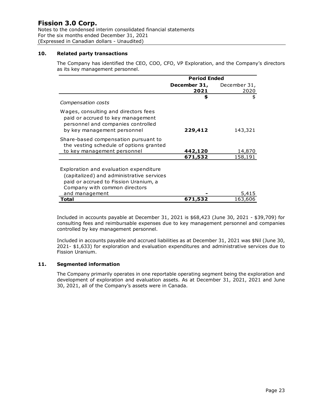Notes to the condensed interim consolidated financial statements For the six months ended December 31, 2021 (Expressed in Canadian dollars - Unaudited)

#### **10. Related party transactions**

The Company has identified the CEO, COO, CFO, VP Exploration, and the Company's directors as its key management personnel.

|                                                                                                                                                               | <b>Period Ended</b>  |                      |
|---------------------------------------------------------------------------------------------------------------------------------------------------------------|----------------------|----------------------|
|                                                                                                                                                               | December 31,<br>2021 | December 31,<br>2020 |
| Compensation costs                                                                                                                                            | \$                   | \$                   |
| Wages, consulting and directors fees<br>paid or accrued to key management<br>personnel and companies controlled<br>by key management personnel                | 229,412              | 143,321              |
| Share-based compensation pursuant to<br>the vesting schedule of options granted<br>to key management personnel                                                | 442,120              | 14,870               |
|                                                                                                                                                               | 671,532              | 158,191              |
| Exploration and evaluation expenditure<br>(capitalized) and administrative services<br>paid or accrued to Fission Uranium, a<br>Company with common directors |                      |                      |
| and management                                                                                                                                                |                      |                      |
| Total                                                                                                                                                         | 671,532              | 163,606              |

Included in accounts payable at December 31, 2021 is \$68,423 (June 30, 2021 - \$39,709) for consulting fees and reimbursable expenses due to key management personnel and companies controlled by key management personnel.

Included in accounts payable and accrued liabilities as at December 31, 2021 was \$Nil (June 30, 2021- \$1,633) for exploration and evaluation expenditures and administrative services due to Fission Uranium.

#### **11. Segmented information**

The Company primarily operates in one reportable operating segment being the exploration and development of exploration and evaluation assets. As at December 31, 2021, 2021 and June 30, 2021, all of the Company's assets were in Canada.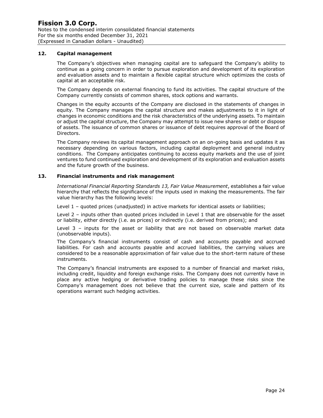#### **12. Capital management**

The Company's objectives when managing capital are to safeguard the Company's ability to continue as a going concern in order to pursue exploration and development of its exploration and evaluation assets and to maintain a flexible capital structure which optimizes the costs of capital at an acceptable risk.

The Company depends on external financing to fund its activities. The capital structure of the Company currently consists of common shares, stock options and warrants.

Changes in the equity accounts of the Company are disclosed in the statements of changes in equity. The Company manages the capital structure and makes adjustments to it in light of changes in economic conditions and the risk characteristics of the underlying assets. To maintain or adjust the capital structure, the Company may attempt to issue new shares or debt or dispose of assets. The issuance of common shares or issuance of debt requires approval of the Board of Directors.

The Company reviews its capital management approach on an on-going basis and updates it as necessary depending on various factors, including capital deployment and general industry conditions. The Company anticipates continuing to access equity markets and the use of joint ventures to fund continued exploration and development of its exploration and evaluation assets and the future growth of the business.

#### **13. Financial instruments and risk management**

*International Financial Reporting Standards 13, Fair Value Measurement*, establishes a fair value hierarchy that reflects the significance of the inputs used in making the measurements. The fair value hierarchy has the following levels:

Level 1 – quoted prices (unadjusted) in active markets for identical assets or liabilities;

Level 2 – inputs other than quoted prices included in Level 1 that are observable for the asset or liability, either directly (i.e. as prices) or indirectly (i.e. derived from prices); and

Level 3 – inputs for the asset or liability that are not based on observable market data (unobservable inputs).

The Company's financial instruments consist of cash and accounts payable and accrued liabilities. For cash and accounts payable and accrued liabilities, the carrying values are considered to be a reasonable approximation of fair value due to the short-term nature of these instruments.

The Company's financial instruments are exposed to a number of financial and market risks, including credit, liquidity and foreign exchange risks. The Company does not currently have in place any active hedging or derivative trading policies to manage these risks since the Company's management does not believe that the current size, scale and pattern of its operations warrant such hedging activities.